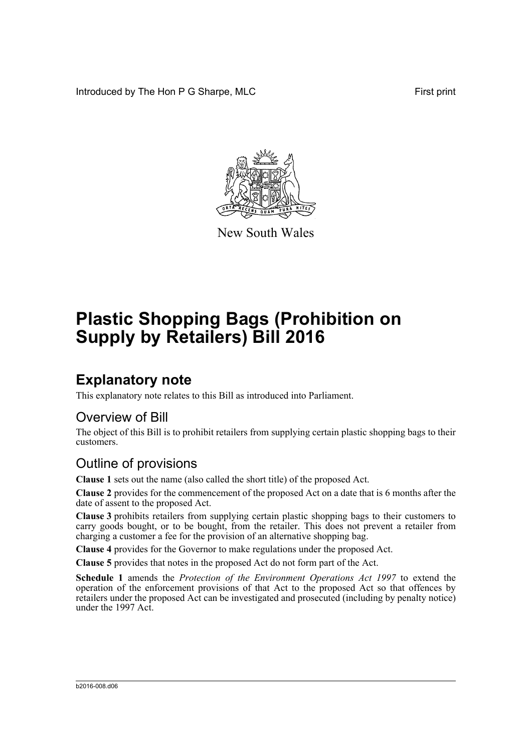Introduced by The Hon P G Sharpe, MLC First print



New South Wales

# **Plastic Shopping Bags (Prohibition on Supply by Retailers) Bill 2016**

## **Explanatory note**

This explanatory note relates to this Bill as introduced into Parliament.

#### Overview of Bill

The object of this Bill is to prohibit retailers from supplying certain plastic shopping bags to their customers.

#### Outline of provisions

**Clause 1** sets out the name (also called the short title) of the proposed Act.

**Clause 2** provides for the commencement of the proposed Act on a date that is 6 months after the date of assent to the proposed Act.

**Clause 3** prohibits retailers from supplying certain plastic shopping bags to their customers to carry goods bought, or to be bought, from the retailer. This does not prevent a retailer from charging a customer a fee for the provision of an alternative shopping bag.

**Clause 4** provides for the Governor to make regulations under the proposed Act.

**Clause 5** provides that notes in the proposed Act do not form part of the Act.

**Schedule 1** amends the *Protection of the Environment Operations Act 1997* to extend the operation of the enforcement provisions of that Act to the proposed Act so that offences by retailers under the proposed Act can be investigated and prosecuted (including by penalty notice) under the 1997 Act.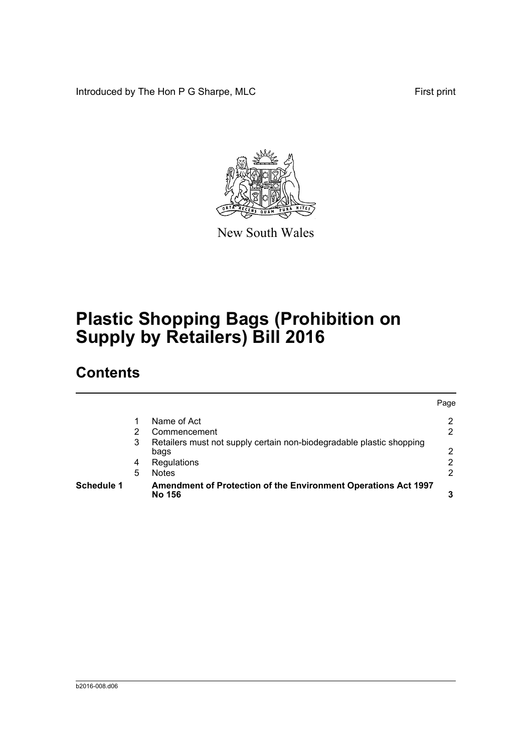Introduced by The Hon P G Sharpe, MLC First print



New South Wales

# **Plastic Shopping Bags (Prohibition on Supply by Retailers) Bill 2016**

## **Contents**

| <b>Schedule 1</b> |   | Amendment of Protection of the Environment Operations Act 1997<br>No 156     |      |
|-------------------|---|------------------------------------------------------------------------------|------|
|                   | 5 | <b>Notes</b>                                                                 | 2    |
|                   | 4 | Regulations                                                                  | 2    |
|                   | 3 | Retailers must not supply certain non-biodegradable plastic shopping<br>bags | 2    |
|                   | 2 | Commencement                                                                 | 2    |
|                   |   | Name of Act                                                                  | 2    |
|                   |   |                                                                              | Page |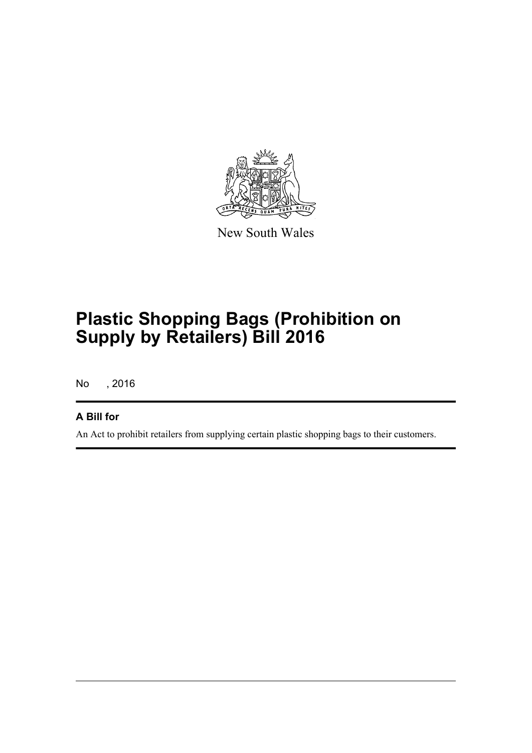

New South Wales

# **Plastic Shopping Bags (Prohibition on Supply by Retailers) Bill 2016**

No , 2016

#### **A Bill for**

An Act to prohibit retailers from supplying certain plastic shopping bags to their customers.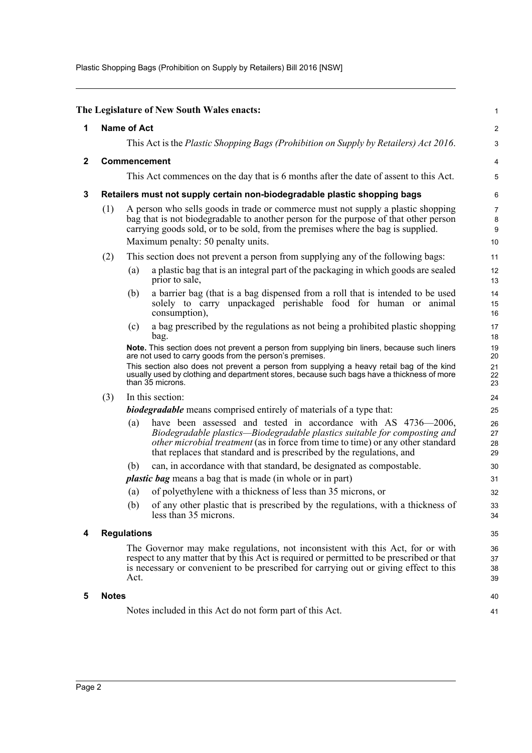Plastic Shopping Bags (Prohibition on Supply by Retailers) Bill 2016 [NSW]

<span id="page-3-4"></span><span id="page-3-3"></span><span id="page-3-2"></span><span id="page-3-1"></span><span id="page-3-0"></span>

|              |                                                                                                                                                                                                                                                                             |                                                                                                                                                                                                                                                              | The Legislature of New South Wales enacts:                                                                                                                                                                                                                                                                                                                            | 1                          |  |  |
|--------------|-----------------------------------------------------------------------------------------------------------------------------------------------------------------------------------------------------------------------------------------------------------------------------|--------------------------------------------------------------------------------------------------------------------------------------------------------------------------------------------------------------------------------------------------------------|-----------------------------------------------------------------------------------------------------------------------------------------------------------------------------------------------------------------------------------------------------------------------------------------------------------------------------------------------------------------------|----------------------------|--|--|
| 1            | <b>Name of Act</b>                                                                                                                                                                                                                                                          |                                                                                                                                                                                                                                                              |                                                                                                                                                                                                                                                                                                                                                                       |                            |  |  |
|              |                                                                                                                                                                                                                                                                             | This Act is the Plastic Shopping Bags (Prohibition on Supply by Retailers) Act 2016.                                                                                                                                                                         |                                                                                                                                                                                                                                                                                                                                                                       |                            |  |  |
| $\mathbf{2}$ |                                                                                                                                                                                                                                                                             | Commencement                                                                                                                                                                                                                                                 |                                                                                                                                                                                                                                                                                                                                                                       |                            |  |  |
|              |                                                                                                                                                                                                                                                                             |                                                                                                                                                                                                                                                              | This Act commences on the day that is 6 months after the date of assent to this Act.                                                                                                                                                                                                                                                                                  | 5                          |  |  |
| 3            | Retailers must not supply certain non-biodegradable plastic shopping bags                                                                                                                                                                                                   |                                                                                                                                                                                                                                                              |                                                                                                                                                                                                                                                                                                                                                                       |                            |  |  |
|              | (1)                                                                                                                                                                                                                                                                         | A person who sells goods in trade or commerce must not supply a plastic shopping<br>bag that is not biodegradable to another person for the purpose of that other person<br>carrying goods sold, or to be sold, from the premises where the bag is supplied. |                                                                                                                                                                                                                                                                                                                                                                       |                            |  |  |
|              | Maximum penalty: 50 penalty units.                                                                                                                                                                                                                                          |                                                                                                                                                                                                                                                              |                                                                                                                                                                                                                                                                                                                                                                       | 10                         |  |  |
|              | (2)                                                                                                                                                                                                                                                                         |                                                                                                                                                                                                                                                              | This section does not prevent a person from supplying any of the following bags:                                                                                                                                                                                                                                                                                      | 11                         |  |  |
|              |                                                                                                                                                                                                                                                                             | (a)                                                                                                                                                                                                                                                          | a plastic bag that is an integral part of the packaging in which goods are sealed<br>prior to sale,                                                                                                                                                                                                                                                                   | 12<br>13                   |  |  |
|              |                                                                                                                                                                                                                                                                             | (b)                                                                                                                                                                                                                                                          | a barrier bag (that is a bag dispensed from a roll that is intended to be used<br>solely to carry unpackaged perishable food for human or animal<br>consumption),                                                                                                                                                                                                     | 14<br>15<br>16             |  |  |
|              |                                                                                                                                                                                                                                                                             | (c)                                                                                                                                                                                                                                                          | a bag prescribed by the regulations as not being a prohibited plastic shopping<br>bag.                                                                                                                                                                                                                                                                                | 17<br>18                   |  |  |
|              |                                                                                                                                                                                                                                                                             |                                                                                                                                                                                                                                                              | Note. This section does not prevent a person from supplying bin liners, because such liners<br>are not used to carry goods from the person's premises.<br>This section also does not prevent a person from supplying a heavy retail bag of the kind<br>usually used by clothing and department stores, because such bags have a thickness of more<br>than 35 microns. | 19<br>20<br>21<br>22<br>23 |  |  |
|              | (3)                                                                                                                                                                                                                                                                         |                                                                                                                                                                                                                                                              | In this section:                                                                                                                                                                                                                                                                                                                                                      | 24                         |  |  |
|              |                                                                                                                                                                                                                                                                             |                                                                                                                                                                                                                                                              | <b>biodegradable</b> means comprised entirely of materials of a type that:                                                                                                                                                                                                                                                                                            | 25                         |  |  |
|              |                                                                                                                                                                                                                                                                             | (a)                                                                                                                                                                                                                                                          | have been assessed and tested in accordance with AS 4736-2006,<br>Biodegradable plastics—Biodegradable plastics suitable for composting and<br>other microbial treatment (as in force from time to time) or any other standard<br>that replaces that standard and is prescribed by the regulations, and                                                               | 26<br>27<br>28<br>29       |  |  |
|              |                                                                                                                                                                                                                                                                             | (b)                                                                                                                                                                                                                                                          | can, in accordance with that standard, be designated as compostable.                                                                                                                                                                                                                                                                                                  | 30                         |  |  |
|              |                                                                                                                                                                                                                                                                             |                                                                                                                                                                                                                                                              | <i>plastic bag</i> means a bag that is made (in whole or in part)                                                                                                                                                                                                                                                                                                     | 31                         |  |  |
|              |                                                                                                                                                                                                                                                                             | (a)                                                                                                                                                                                                                                                          | of polyethylene with a thickness of less than 35 microns, or                                                                                                                                                                                                                                                                                                          | 32                         |  |  |
|              |                                                                                                                                                                                                                                                                             | (b)                                                                                                                                                                                                                                                          | of any other plastic that is prescribed by the regulations, with a thickness of<br>less than 35 microns.                                                                                                                                                                                                                                                              | 33<br>34                   |  |  |
| 4            |                                                                                                                                                                                                                                                                             | <b>Regulations</b>                                                                                                                                                                                                                                           |                                                                                                                                                                                                                                                                                                                                                                       |                            |  |  |
|              | The Governor may make regulations, not inconsistent with this Act, for or with<br>respect to any matter that by this Act is required or permitted to be prescribed or that<br>is necessary or convenient to be prescribed for carrying out or giving effect to this<br>Act. |                                                                                                                                                                                                                                                              |                                                                                                                                                                                                                                                                                                                                                                       |                            |  |  |
| 5            | <b>Notes</b>                                                                                                                                                                                                                                                                |                                                                                                                                                                                                                                                              |                                                                                                                                                                                                                                                                                                                                                                       | 40                         |  |  |
|              |                                                                                                                                                                                                                                                                             |                                                                                                                                                                                                                                                              | Notes included in this Act do not form part of this Act.                                                                                                                                                                                                                                                                                                              | 41                         |  |  |